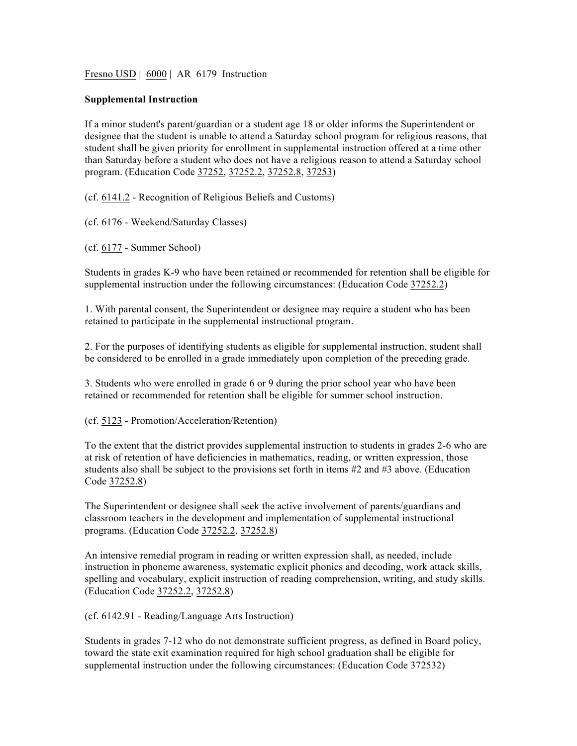Fresno USD | 6000 | AR 6179 Instruction

## **Supplemental Instruction**

If a minor student's parent/guardian or a student age 18 or older informs the Superintendent or designee that the student is unable to attend a Saturday school program for religious reasons, that student shall be given priority for enrollment in supplemental instruction offered at a time other than Saturday before a student who does not have a religious reason to attend a Saturday school program. (Education Code 37252, 37252.2, 37252.8, 37253)

(cf. 6141.2 - Recognition of Religious Beliefs and Customs)

(cf. 6176 - Weekend/Saturday Classes)

(cf. 6177 - Summer School)

Students in grades K-9 who have been retained or recommended for retention shall be eligible for supplemental instruction under the following circumstances: (Education Code 37252.2)

1. With parental consent, the Superintendent or designee may require a student who has been retained to participate in the supplemental instructional program.

2. For the purposes of identifying students as eligible for supplemental instruction, student shall be considered to be enrolled in a grade immediately upon completion of the preceding grade.

3. Students who were enrolled in grade 6 or 9 during the prior school year who have been retained or recommended for retention shall be eligible for summer school instruction.

(cf. 5123 - Promotion/Acceleration/Retention)

To the extent that the district provides supplemental instruction to students in grades 2-6 who are at risk of retention of have deficiencies in mathematics, reading, or written expression, those students also shall be subject to the provisions set forth in items #2 and #3 above. (Education Code 37252.8)

The Superintendent or designee shall seek the active involvement of parents/guardians and classroom teachers in the development and implementation of supplemental instructional programs. (Education Code 37252.2, 37252.8)

An intensive remedial program in reading or written expression shall, as needed, include instruction in phoneme awareness, systematic explicit phonics and decoding, work attack skills, spelling and vocabulary, explicit instruction of reading comprehension, writing, and study skills. (Education Code 37252.2, 37252.8)

(cf. 6142.91 - Reading/Language Arts Instruction)

Students in grades 7-12 who do not demonstrate sufficient progress, as defined in Board policy, toward the state exit examination required for high school graduation shall be eligible for supplemental instruction under the following circumstances: (Education Code 372532)